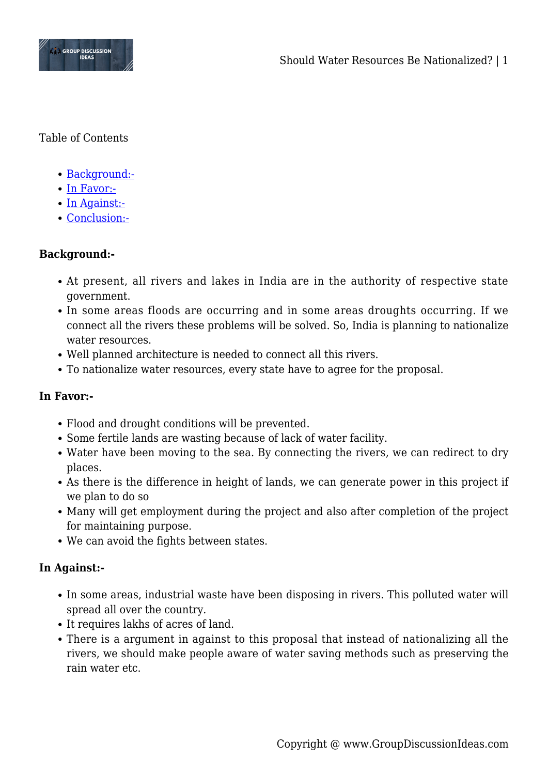

Table of Contents

- [Background:-](#page--1-0)
- [In Favor:-](#page--1-0)
- [In Against:-](#page--1-0)
- [Conclusion:-](#page--1-0)

## **Background:-**

- At present, all rivers and lakes in India are in the authority of respective state government.
- In some areas floods are occurring and in some areas droughts occurring. If we connect all the rivers these problems will be solved. So, India is planning to nationalize water resources.
- Well planned architecture is needed to connect all this rivers.
- To nationalize water resources, every state have to agree for the proposal.

## **In Favor:-**

- Flood and drought conditions will be prevented.
- Some fertile lands are wasting because of lack of water facility.
- Water have been moving to the sea. By connecting the rivers, we can redirect to dry places.
- As there is the difference in height of lands, we can generate power in this project if we plan to do so
- Many will get employment during the project and also after completion of the project for maintaining purpose.
- We can avoid the fights between states.

## **In Against:-**

- In some areas, industrial waste have been disposing in rivers. This polluted water will spread all over the country.
- It requires lakhs of acres of land.
- There is a argument in against to this proposal that instead of nationalizing all the rivers, we should make people aware of water saving methods such as preserving the rain water etc.